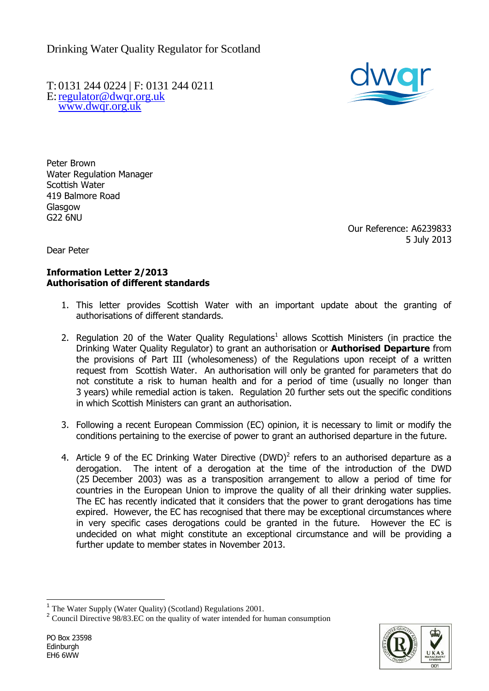Drinking Water Quality Regulator for Scotland

T: 0131 244 0224 | F: 0131 244 0211 E[:regulator@dwqr.org.uk](mailto:regulator@dwqr.org.uk)  [www.dwqr.org.uk](http://www.dwqr.org.uk/)



Peter Brown Water Regulation Manager Scottish Water 419 Balmore Road **Glasgow** G22 6NU

> Our Reference: A6239833 5 July 2013

Dear Peter

## **Information Letter 2/2013 Authorisation of different standards**

- 1. This letter provides Scottish Water with an important update about the granting of authorisations of different standards.
- 2. Regulation 20 of the Water Quality Regulations<sup>1</sup> allows Scottish Ministers (in practice the Drinking Water Quality Regulator) to grant an authorisation or **Authorised Departure** from the provisions of Part III (wholesomeness) of the Regulations upon receipt of a written request from Scottish Water. An authorisation will only be granted for parameters that do not constitute a risk to human health and for a period of time (usually no longer than 3 years) while remedial action is taken. Regulation 20 further sets out the specific conditions in which Scottish Ministers can grant an authorisation.
- 3. Following a recent European Commission (EC) opinion, it is necessary to limit or modify the conditions pertaining to the exercise of power to grant an authorised departure in the future.
- 4. Article 9 of the EC Drinking Water Directive (DWD)<sup>2</sup> refers to an authorised departure as a derogation. The intent of a derogation at the time of the introduction of the DWD (25 December 2003) was as a transposition arrangement to allow a period of time for countries in the European Union to improve the quality of all their drinking water supplies. The EC has recently indicated that it considers that the power to grant derogations has time expired. However, the EC has recognised that there may be exceptional circumstances where in very specific cases derogations could be granted in the future. However the EC is undecided on what might constitute an exceptional circumstance and will be providing a further update to member states in November 2013.



 $\overline{a}$ <sup>1</sup> The Water Supply (Water Quality) (Scotland) Regulations 2001.

<sup>&</sup>lt;sup>2</sup> Council Directive 98/83.EC on the quality of water intended for human consumption